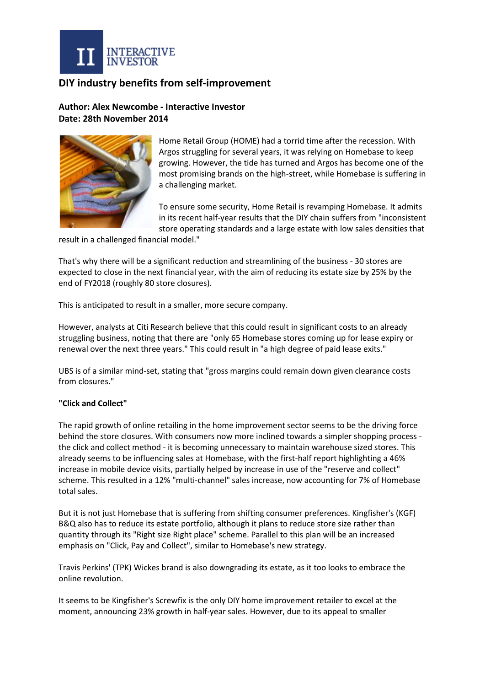

## **DIY industry benefits from self-improvement**

**Author: Alex Newcombe - Interactive Investor Date: 28th November 2014**



Home Retail Group (HOME) had a torrid time after the recession. With Argos struggling for several years, it was relying on Homebase to keep growing. However, the tide has turned and Argos has become one of the most promising brands on the high-street, while Homebase is suffering in a challenging market.

To ensure some security, Home Retail is revamping Homebase. It admits in its recent half-year results that the DIY chain suffers from "inconsistent store operating standards and a large estate with low sales densities that

result in a challenged financial model."

That's why there will be a significant reduction and streamlining of the business - 30 stores are expected to close in the next financial year, with the aim of reducing its estate size by 25% by the end of FY2018 (roughly 80 store closures).

This is anticipated to result in a smaller, more secure company.

However, analysts at Citi Research believe that this could result in significant costs to an already struggling business, noting that there are "only 65 Homebase stores coming up for lease expiry or renewal over the next three years." This could result in "a high degree of paid lease exits."

UBS is of a similar mind-set, stating that "gross margins could remain down given clearance costs from closures."

## **"Click and Collect"**

The rapid growth of online retailing in the home improvement sector seems to be the driving force behind the store closures. With consumers now more inclined towards a simpler shopping process the click and collect method - it is becoming unnecessary to maintain warehouse sized stores. This already seems to be influencing sales at Homebase, with the first-half report highlighting a 46% increase in mobile device visits, partially helped by increase in use of the "reserve and collect" scheme. This resulted in a 12% "multi-channel" sales increase, now accounting for 7% of Homebase total sales.

But it is not just Homebase that is suffering from shifting consumer preferences. Kingfisher's (KGF) B&Q also has to reduce its estate portfolio, although it plans to reduce store size rather than quantity through its "Right size Right place" scheme. Parallel to this plan will be an increased emphasis on "Click, Pay and Collect", similar to Homebase's new strategy.

Travis Perkins' (TPK) Wickes brand is also downgrading its estate, as it too looks to embrace the online revolution.

It seems to be Kingfisher's Screwfix is the only DIY home improvement retailer to excel at the moment, announcing 23% growth in half-year sales. However, due to its appeal to smaller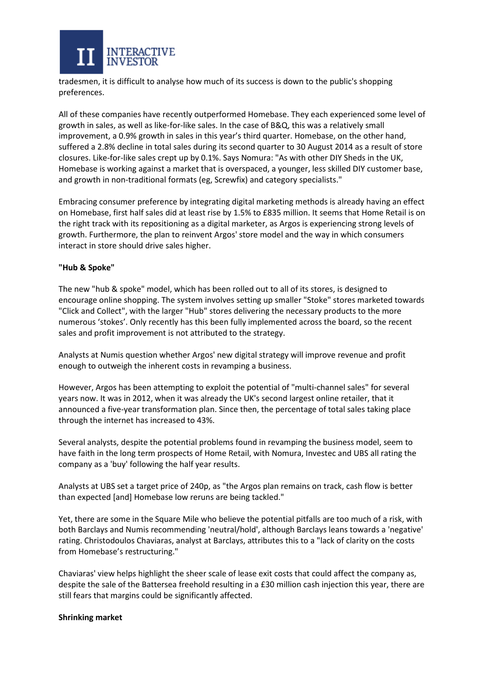

tradesmen, it is difficult to analyse how much of its success is down to the public's shopping preferences.

All of these companies have recently outperformed Homebase. They each experienced some level of growth in sales, as well as like-for-like sales. In the case of B&Q, this was a relatively small improvement, a 0.9% growth in sales in this year's third quarter. Homebase, on the other hand, suffered a 2.8% decline in total sales during its second quarter to 30 August 2014 as a result of store closures. Like-for-like sales crept up by 0.1%. Says Nomura: "As with other DIY Sheds in the UK, Homebase is working against a market that is overspaced, a younger, less skilled DIY customer base, and growth in non-traditional formats (eg, Screwfix) and category specialists."

Embracing consumer preference by integrating digital marketing methods is already having an effect on Homebase, first half sales did at least rise by 1.5% to £835 million. It seems that Home Retail is on the right track with its repositioning as a digital marketer, as Argos is experiencing strong levels of growth. Furthermore, the plan to reinvent Argos' store model and the way in which consumers interact in store should drive sales higher.

## **"Hub & Spoke"**

The new "hub & spoke" model, which has been rolled out to all of its stores, is designed to encourage online shopping. The system involves setting up smaller "Stoke" stores marketed towards "Click and Collect", with the larger "Hub" stores delivering the necessary products to the more numerous 'stokes'. Only recently has this been fully implemented across the board, so the recent sales and profit improvement is not attributed to the strategy.

Analysts at Numis question whether Argos' new digital strategy will improve revenue and profit enough to outweigh the inherent costs in revamping a business.

However, Argos has been attempting to exploit the potential of "multi-channel sales" for several years now. It was in 2012, when it was already the UK's second largest online retailer, that it announced a five-year transformation plan. Since then, the percentage of total sales taking place through the internet has increased to 43%.

Several analysts, despite the potential problems found in revamping the business model, seem to have faith in the long term prospects of Home Retail, with Nomura, Investec and UBS all rating the company as a 'buy' following the half year results.

Analysts at UBS set a target price of 240p, as "the Argos plan remains on track, cash flow is better than expected [and] Homebase low reruns are being tackled."

Yet, there are some in the Square Mile who believe the potential pitfalls are too much of a risk, with both Barclays and Numis recommending 'neutral/hold', although Barclays leans towards a 'negative' rating. Christodoulos Chaviaras, analyst at Barclays, attributes this to a "lack of clarity on the costs from Homebase's restructuring."

Chaviaras' view helps highlight the sheer scale of lease exit costs that could affect the company as, despite the sale of the Battersea freehold resulting in a £30 million cash injection this year, there are still fears that margins could be significantly affected.

## **Shrinking market**